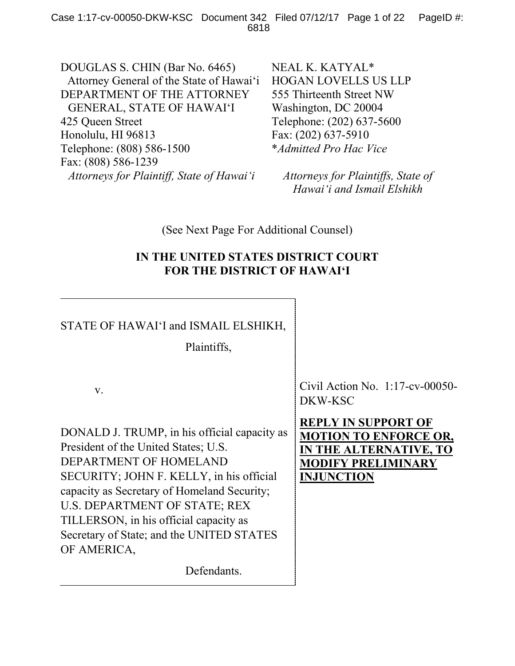DOUGLAS S. CHIN (Bar No. 6465) Attorney General of the State of Hawai'i DEPARTMENT OF THE ATTORNEY GENERAL, STATE OF HAWAI'I 425 Queen Street Honolulu, HI 96813 Telephone: (808) 586-1500 Fax: (808) 586-1239 *Attorneys for Plaintiff, State of Hawai'i*

NEAL K. KATYAL\* HOGAN LOVELLS US LLP 555 Thirteenth Street NW Washington, DC 20004 Telephone: (202) 637-5600 Fax: (202) 637-5910 \**Admitted Pro Hac Vice*

*Attorneys for Plaintiffs, State of Hawai'i and Ismail Elshikh*

(See Next Page For Additional Counsel)

### **IN THE UNITED STATES DISTRICT COURT FOR THE DISTRICT OF HAWAI'I**

| STATE OF HAWAI'I and ISMAIL ELSHIKH,<br>Plaintiffs,                                                                                                                                                                                                       |                                                                                                                                                                                         |
|-----------------------------------------------------------------------------------------------------------------------------------------------------------------------------------------------------------------------------------------------------------|-----------------------------------------------------------------------------------------------------------------------------------------------------------------------------------------|
| $V_{\rm A}$<br>DONALD J. TRUMP, in his official capacity as<br>President of the United States; U.S.<br>DEPARTMENT OF HOMELAND<br>SECURITY; JOHN F. KELLY, in his official<br>capacity as Secretary of Homeland Security;<br>U.S. DEPARTMENT OF STATE; REX | Civil Action No. $1:17$ -cv-00050-<br>DKW-KSC<br><b>REPLY IN SUPPORT OF</b><br><b>MOTION TO ENFORCE OR,</b><br>IN THE ALTERNATIVE, TO<br><b>MODIFY PRELIMINARY</b><br><b>INJUNCTION</b> |
| TILLERSON, in his official capacity as<br>Secretary of State; and the UNITED STATES<br>OF AMERICA,<br>Defendants.                                                                                                                                         |                                                                                                                                                                                         |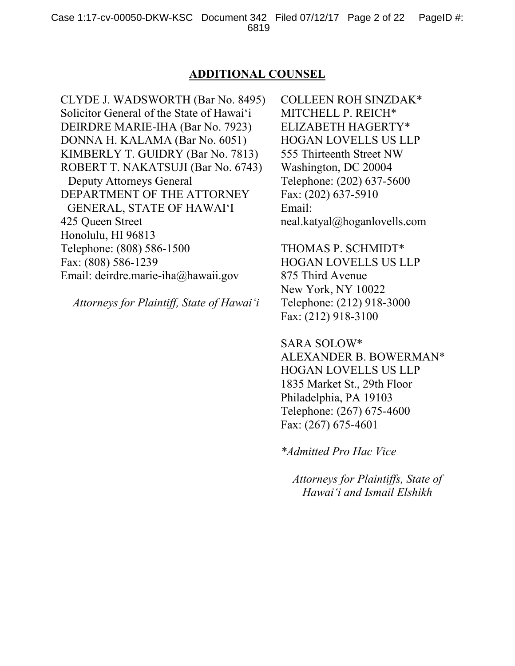#### **ADDITIONAL COUNSEL**

CLYDE J. WADSWORTH (Bar No. 8495) Solicitor General of the State of Hawai'i DEIRDRE MARIE-IHA (Bar No. 7923) DONNA H. KALAMA (Bar No. 6051) KIMBERLY T. GUIDRY (Bar No. 7813) ROBERT T. NAKATSUJI (Bar No. 6743) Deputy Attorneys General DEPARTMENT OF THE ATTORNEY GENERAL, STATE OF HAWAI'I 425 Queen Street Honolulu, HI 96813 Telephone: (808) 586-1500 Fax: (808) 586-1239 Email: deirdre.marie-iha@hawaii.gov

*Attorneys for Plaintiff, State of Hawai'i*

COLLEEN ROH SINZDAK\* MITCHELL P. REICH\* ELIZABETH HAGERTY\* HOGAN LOVELLS US LLP 555 Thirteenth Street NW Washington, DC 20004 Telephone: (202) 637-5600 Fax: (202) 637-5910 Email: neal.katyal@hoganlovells.com

THOMAS P. SCHMIDT\* HOGAN LOVELLS US LLP 875 Third Avenue New York, NY 10022 Telephone: (212) 918-3000 Fax: (212) 918-3100

SARA SOLOW\* ALEXANDER B. BOWERMAN\* HOGAN LOVELLS US LLP 1835 Market St., 29th Floor Philadelphia, PA 19103 Telephone: (267) 675-4600 Fax: (267) 675-4601

*\*Admitted Pro Hac Vice*

*Attorneys for Plaintiffs, State of Hawai'i and Ismail Elshikh*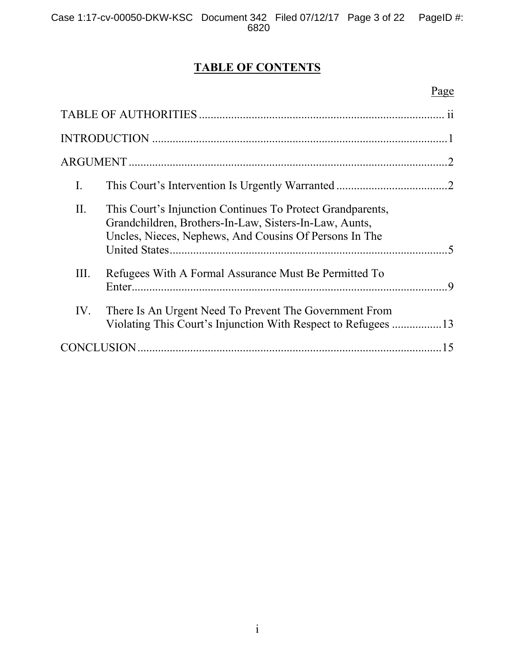# **TABLE OF CONTENTS**

| I.                |                                                                                                                                                                                |
|-------------------|--------------------------------------------------------------------------------------------------------------------------------------------------------------------------------|
| II.               | This Court's Injunction Continues To Protect Grandparents,<br>Grandchildren, Brothers-In-Law, Sisters-In-Law, Aunts,<br>Uncles, Nieces, Nephews, And Cousins Of Persons In The |
| III.              | Refugees With A Formal Assurance Must Be Permitted To<br><b>Q</b>                                                                                                              |
| IV.               | There Is An Urgent Need To Prevent The Government From                                                                                                                         |
| <b>CONCLUSION</b> | 15                                                                                                                                                                             |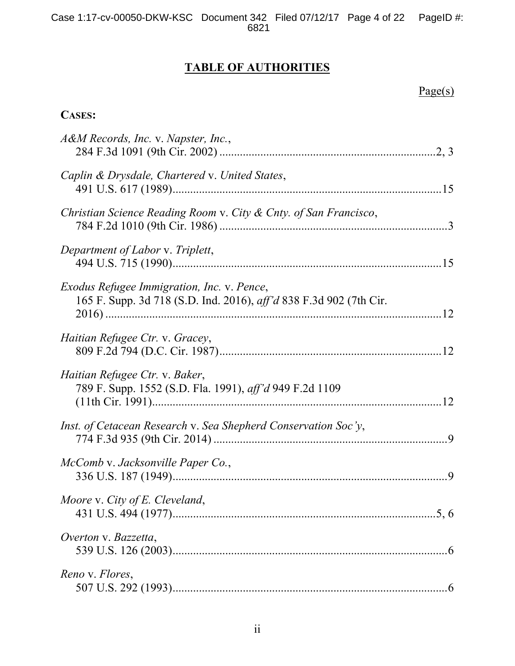# **TABLE OF AUTHORITIES**

Page(s)

### **CASES:**

| A&M Records, Inc. v. Napster, Inc.,                                                                              |  |
|------------------------------------------------------------------------------------------------------------------|--|
| Caplin & Drysdale, Chartered v. United States,                                                                   |  |
| Christian Science Reading Room v. City & Cnty. of San Francisco,                                                 |  |
| Department of Labor v. Triplett,                                                                                 |  |
| Exodus Refugee Immigration, Inc. v. Pence,<br>165 F. Supp. 3d 718 (S.D. Ind. 2016), aff'd 838 F.3d 902 (7th Cir. |  |
| Haitian Refugee Ctr. v. Gracey,                                                                                  |  |
| Haitian Refugee Ctr. v. Baker,<br>789 F. Supp. 1552 (S.D. Fla. 1991), aff'd 949 F.2d 1109                        |  |
| Inst. of Cetacean Research v. Sea Shepherd Conservation Soc'y,                                                   |  |
| McComb v. Jacksonville Paper Co.,                                                                                |  |
| Moore v. City of E. Cleveland,                                                                                   |  |
| Overton v. Bazzetta,                                                                                             |  |
| Reno v. Flores,                                                                                                  |  |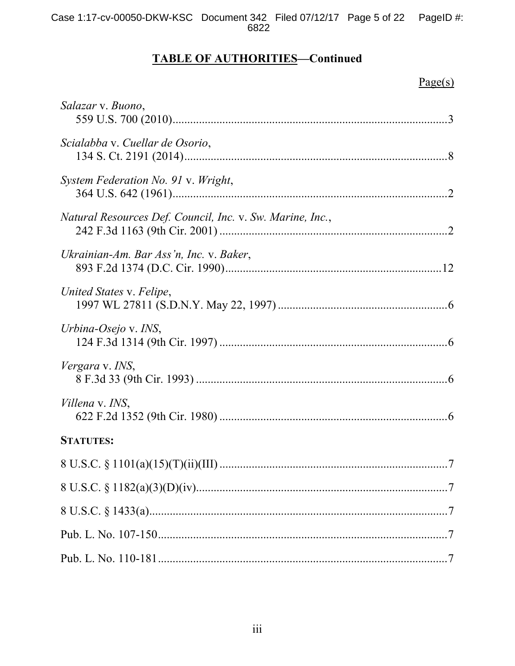# **TABLE OF AUTHORITIES-Continued**

# $Page(s)$

| Salazar v. Buono,                                         |
|-----------------------------------------------------------|
| Scialabba v. Cuellar de Osorio,                           |
| System Federation No. 91 v. Wright,                       |
| Natural Resources Def. Council, Inc. v. Sw. Marine, Inc., |
| Ukrainian-Am. Bar Ass'n, Inc. v. Baker,                   |
| United States v. Felipe,                                  |
| Urbina-Osejo v. INS,                                      |
| Vergara v. INS,                                           |
| <i>Villena v. INS,</i>                                    |
| <b>STATUTES:</b>                                          |
|                                                           |
|                                                           |
|                                                           |
|                                                           |
|                                                           |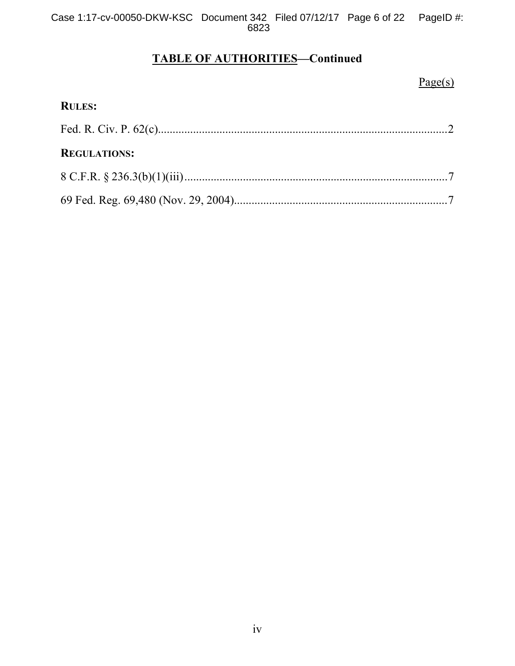### **TABLE OF AUTHORITIES—Continued**

### $Page(s)$

# **RULES:** Fed. R. Civ. P. 62(c)...................................................................................................2 **REGULATIONS:** 8 C.F.R. § 236.3(b)(1)(iii)..........................................................................................7 69 Fed. Reg. 69,480 (Nov. 29, 2004).........................................................................7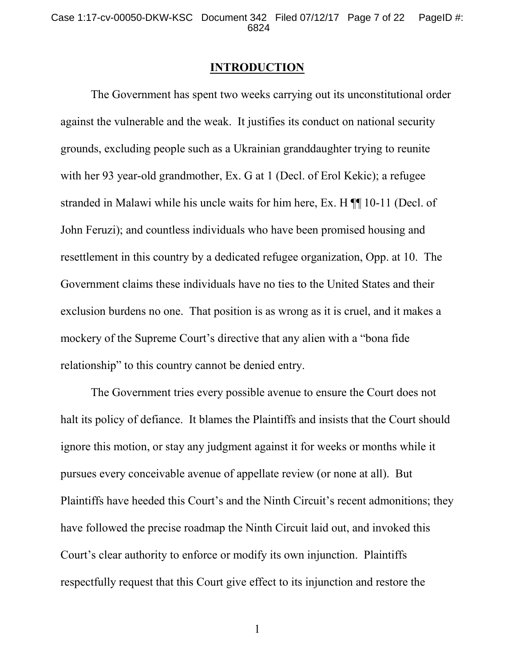#### **INTRODUCTION**

The Government has spent two weeks carrying out its unconstitutional order against the vulnerable and the weak. It justifies its conduct on national security grounds, excluding people such as a Ukrainian granddaughter trying to reunite with her 93 year-old grandmother, Ex. G at 1 (Decl. of Erol Kekic); a refugee stranded in Malawi while his uncle waits for him here, Ex. H ¶¶ 10-11 (Decl. of John Feruzi); and countless individuals who have been promised housing and resettlement in this country by a dedicated refugee organization, Opp. at 10. The Government claims these individuals have no ties to the United States and their exclusion burdens no one. That position is as wrong as it is cruel, and it makes a mockery of the Supreme Court's directive that any alien with a "bona fide relationship" to this country cannot be denied entry.

The Government tries every possible avenue to ensure the Court does not halt its policy of defiance. It blames the Plaintiffs and insists that the Court should ignore this motion, or stay any judgment against it for weeks or months while it pursues every conceivable avenue of appellate review (or none at all). But Plaintiffs have heeded this Court's and the Ninth Circuit's recent admonitions; they have followed the precise roadmap the Ninth Circuit laid out, and invoked this Court's clear authority to enforce or modify its own injunction. Plaintiffs respectfully request that this Court give effect to its injunction and restore the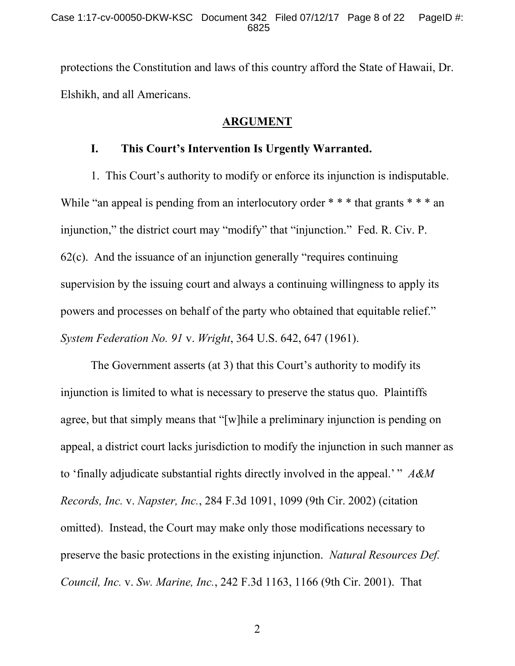protections the Constitution and laws of this country afford the State of Hawaii, Dr. Elshikh, and all Americans.

#### **ARGUMENT**

#### **I. This Court's Intervention Is Urgently Warranted.**

1. This Court's authority to modify or enforce its injunction is indisputable. While "an appeal is pending from an interlocutory order \* \* \* that grants \* \* \* an injunction," the district court may "modify" that "injunction." Fed. R. Civ. P.  $62(c)$ . And the issuance of an injunction generally "requires continuing supervision by the issuing court and always a continuing willingness to apply its powers and processes on behalf of the party who obtained that equitable relief." *System Federation No. 91* v. *Wright*, 364 U.S. 642, 647 (1961).

The Government asserts (at 3) that this Court's authority to modify its injunction is limited to what is necessary to preserve the status quo. Plaintiffs agree, but that simply means that "[w]hile a preliminary injunction is pending on appeal, a district court lacks jurisdiction to modify the injunction in such manner as to 'finally adjudicate substantial rights directly involved in the appeal.' " *A&M Records, Inc.* v. *Napster, Inc.*, 284 F.3d 1091, 1099 (9th Cir. 2002) (citation omitted). Instead, the Court may make only those modifications necessary to preserve the basic protections in the existing injunction. *Natural Resources Def. Council, Inc.* v. *Sw. Marine, Inc.*, 242 F.3d 1163, 1166 (9th Cir. 2001). That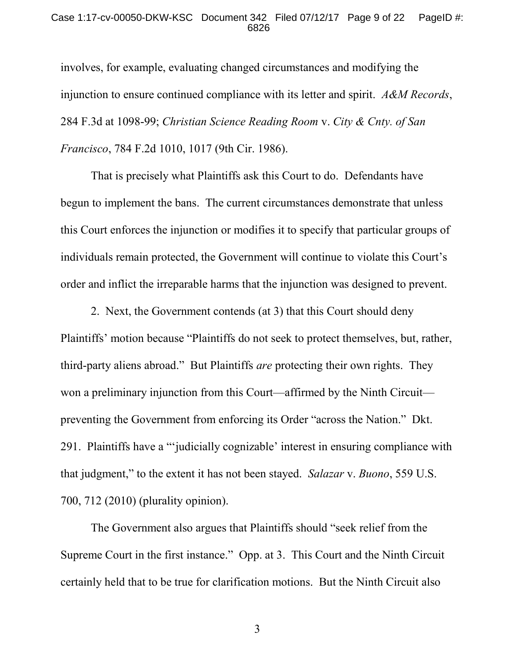#### Case 1:17-cv-00050-DKW-KSC Document 342 Filed 07/12/17 Page 9 of 22 PageID #: 6826

involves, for example, evaluating changed circumstances and modifying the injunction to ensure continued compliance with its letter and spirit. *A&M Records*, 284 F.3d at 1098-99; *Christian Science Reading Room* v. *City & Cnty. of San Francisco*, 784 F.2d 1010, 1017 (9th Cir. 1986).

That is precisely what Plaintiffs ask this Court to do. Defendants have begun to implement the bans. The current circumstances demonstrate that unless this Court enforces the injunction or modifies it to specify that particular groups of individuals remain protected, the Government will continue to violate this Court's order and inflict the irreparable harms that the injunction was designed to prevent.

2. Next, the Government contends (at 3) that this Court should deny Plaintiffs' motion because "Plaintiffs do not seek to protect themselves, but, rather, third-party aliens abroad." But Plaintiffs *are* protecting their own rights. They won a preliminary injunction from this Court—affirmed by the Ninth Circuit preventing the Government from enforcing its Order "across the Nation." Dkt. 291. Plaintiffs have a "'judicially cognizable' interest in ensuring compliance with that judgment," to the extent it has not been stayed. *Salazar* v. *Buono*, 559 U.S. 700, 712 (2010) (plurality opinion).

The Government also argues that Plaintiffs should "seek relief from the Supreme Court in the first instance." Opp. at 3. This Court and the Ninth Circuit certainly held that to be true for clarification motions. But the Ninth Circuit also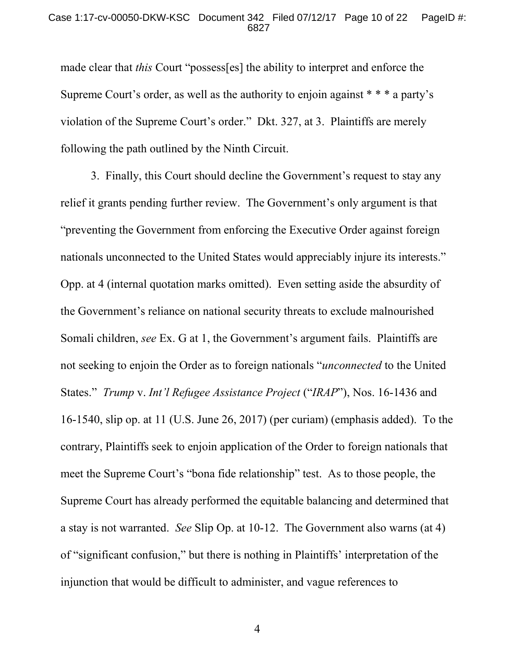made clear that *this* Court "possess[es] the ability to interpret and enforce the Supreme Court's order, as well as the authority to enjoin against \* \* \* a party's violation of the Supreme Court's order." Dkt. 327, at 3. Plaintiffs are merely following the path outlined by the Ninth Circuit.

3. Finally, this Court should decline the Government's request to stay any relief it grants pending further review. The Government's only argument is that "preventing the Government from enforcing the Executive Order against foreign nationals unconnected to the United States would appreciably injure its interests." Opp. at 4 (internal quotation marks omitted). Even setting aside the absurdity of the Government's reliance on national security threats to exclude malnourished Somali children, *see* Ex. G at 1, the Government's argument fails. Plaintiffs are not seeking to enjoin the Order as to foreign nationals "*unconnected* to the United States." *Trump* v. *Int'l Refugee Assistance Project* ("*IRAP*"), Nos. 16-1436 and 16-1540, slip op. at 11 (U.S. June 26, 2017) (per curiam) (emphasis added). To the contrary, Plaintiffs seek to enjoin application of the Order to foreign nationals that meet the Supreme Court's "bona fide relationship" test. As to those people, the Supreme Court has already performed the equitable balancing and determined that a stay is not warranted. *See* Slip Op. at 10-12. The Government also warns (at 4) of "significant confusion," but there is nothing in Plaintiffs' interpretation of the injunction that would be difficult to administer, and vague references to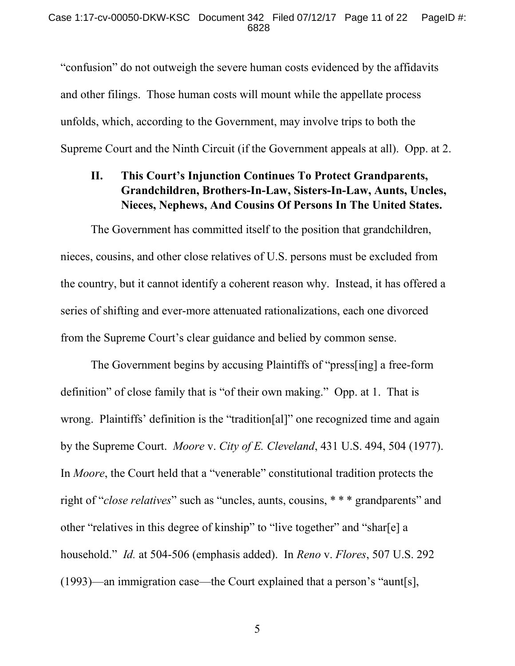"confusion" do not outweigh the severe human costs evidenced by the affidavits and other filings. Those human costs will mount while the appellate process unfolds, which, according to the Government, may involve trips to both the Supreme Court and the Ninth Circuit (if the Government appeals at all). Opp. at 2.

### **II. This Court's Injunction Continues To Protect Grandparents, Grandchildren, Brothers-In-Law, Sisters-In-Law, Aunts, Uncles, Nieces, Nephews, And Cousins Of Persons In The United States.**

The Government has committed itself to the position that grandchildren, nieces, cousins, and other close relatives of U.S. persons must be excluded from the country, but it cannot identify a coherent reason why. Instead, it has offered a series of shifting and ever-more attenuated rationalizations, each one divorced from the Supreme Court's clear guidance and belied by common sense.

The Government begins by accusing Plaintiffs of "press[ing] a free-form definition" of close family that is "of their own making." Opp. at 1. That is wrong. Plaintiffs' definition is the "tradition[al]" one recognized time and again by the Supreme Court. *Moore* v. *City of E. Cleveland*, 431 U.S. 494, 504 (1977). In *Moore*, the Court held that a "venerable" constitutional tradition protects the right of "*close relatives*" such as "uncles, aunts, cousins, \* \* \* grandparents" and other "relatives in this degree of kinship" to "live together" and "shar[e] a household." *Id.* at 504-506 (emphasis added). In *Reno* v. *Flores*, 507 U.S. 292 (1993)—an immigration case—the Court explained that a person's "aunt[s],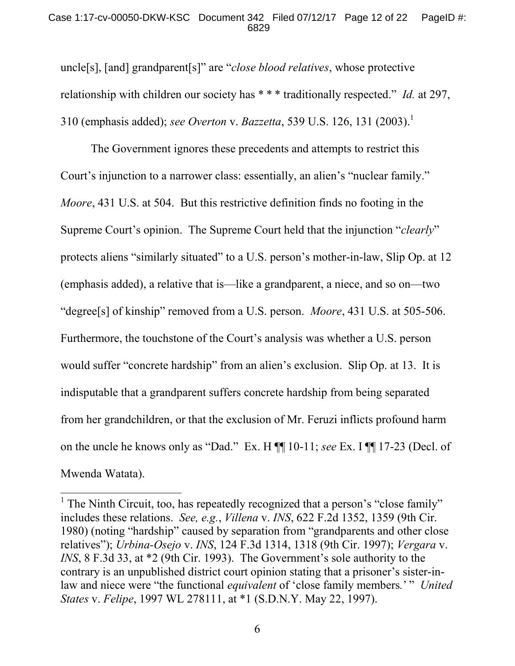#### Case 1:17-cv-00050-DKW-KSC Document 342 Filed 07/12/17 Page 12 of 22 PageID #: 6829

uncle[s], [and] grandparent[s]" are "*close blood relatives*, whose protective relationship with children our society has \* \* \* traditionally respected." *Id.* at 297, 310 (emphasis added); *see Overton* v. *Bazzetta*, 539 U.S. 126, 131 (2003).<sup>1</sup>

The Government ignores these precedents and attempts to restrict this Court's injunction to a narrower class: essentially, an alien's "nuclear family." *Moore*, 431 U.S. at 504. But this restrictive definition finds no footing in the Supreme Court's opinion. The Supreme Court held that the injunction "*clearly*" protects aliens "similarly situated" to a U.S. person's mother-in-law, Slip Op. at 12 (emphasis added), a relative that is—like a grandparent, a niece, and so on—two "degree[s] of kinship" removed from a U.S. person. *Moore*, 431 U.S. at 505-506. Furthermore, the touchstone of the Court's analysis was whether a U.S. person would suffer "concrete hardship" from an alien's exclusion. Slip Op. at 13. It is indisputable that a grandparent suffers concrete hardship from being separated from her grandchildren, or that the exclusion of Mr. Feruzi inflicts profound harm on the uncle he knows only as "Dad." Ex. H ¶¶ 10-11; *see* Ex. I ¶¶ 17-23 (Decl. of Mwenda Watata).

<sup>&</sup>lt;sup>1</sup> The Ninth Circuit, too, has repeatedly recognized that a person's "close family" includes these relations. *See, e.g.*, *Villena* v. *INS*, 622 F.2d 1352, 1359 (9th Cir. 1980) (noting "hardship" caused by separation from "grandparents and other close relatives"); *Urbina-Osejo* v. *INS*, 124 F.3d 1314, 1318 (9th Cir. 1997); *Vergara* v. *INS*, 8 F.3d 33, at  $*2$  (9th Cir. 1993). The Government's sole authority to the contrary is an unpublished district court opinion stating that a prisoner's sister-inlaw and niece were "the functional *equivalent* of 'close family members*.*' " *United States* v. *Felipe*, 1997 WL 278111, at \*1 (S.D.N.Y. May 22, 1997).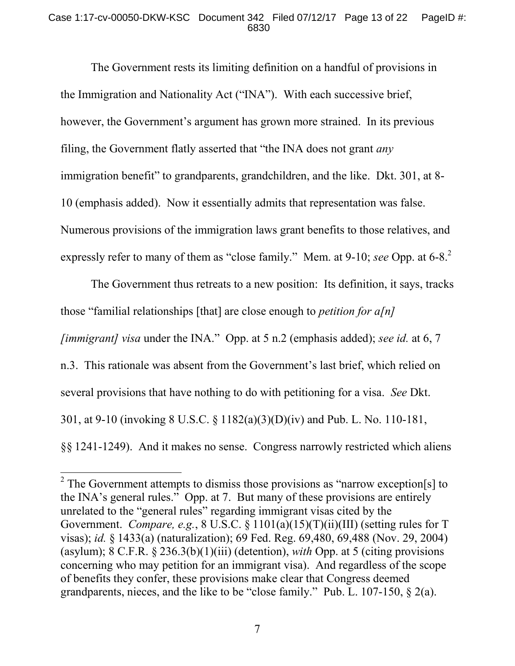#### Case 1:17-cv-00050-DKW-KSC Document 342 Filed 07/12/17 Page 13 of 22 PageID #: 6830

The Government rests its limiting definition on a handful of provisions in the Immigration and Nationality Act ("INA"). With each successive brief, however, the Government's argument has grown more strained. In its previous filing, the Government flatly asserted that "the INA does not grant *any* immigration benefit" to grandparents, grandchildren, and the like. Dkt. 301, at 8- 10 (emphasis added). Now it essentially admits that representation was false. Numerous provisions of the immigration laws grant benefits to those relatives, and expressly refer to many of them as "close family." Mem. at 9-10; *see* Opp. at 6-8.<sup>2</sup>

The Government thus retreats to a new position: Its definition, it says, tracks those "familial relationships [that] are close enough to *petition for a[n]*

*[immigrant] visa* under the INA." Opp. at 5 n.2 (emphasis added); *see id.* at 6, 7

n.3. This rationale was absent from the Government's last brief, which relied on

several provisions that have nothing to do with petitioning for a visa. *See* Dkt.

301, at 9-10 (invoking 8 U.S.C. § 1182(a)(3)(D)(iv) and Pub. L. No. 110-181,

§§ 1241-1249). And it makes no sense. Congress narrowly restricted which aliens

<sup>&</sup>lt;sup>2</sup> The Government attempts to dismiss those provisions as "narrow exception[s] to the INA's general rules." Opp. at 7. But many of these provisions are entirely unrelated to the "general rules" regarding immigrant visas cited by the Government. *Compare, e.g.*, 8 U.S.C. § 1101(a)(15)(T)(ii)(III) (setting rules for T visas); *id.* § 1433(a) (naturalization); 69 Fed. Reg. 69,480, 69,488 (Nov. 29, 2004) (asylum); 8 C.F.R. § 236.3(b)(1)(iii) (detention), *with* Opp. at 5 (citing provisions concerning who may petition for an immigrant visa). And regardless of the scope of benefits they confer, these provisions make clear that Congress deemed grandparents, nieces, and the like to be "close family." Pub. L. 107-150, § 2(a).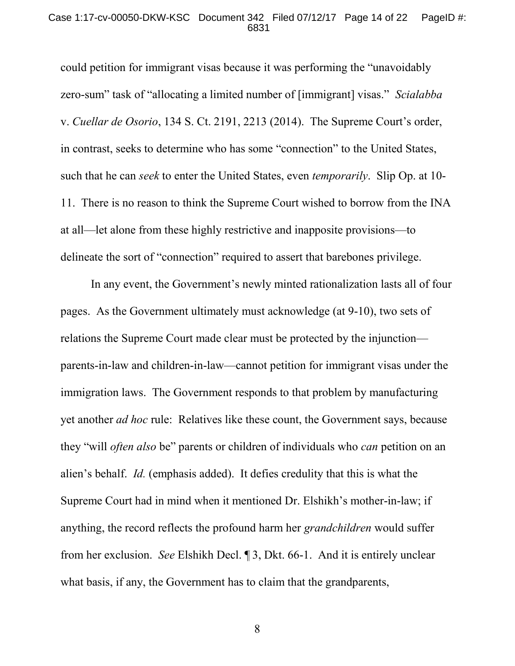#### Case 1:17-cv-00050-DKW-KSC Document 342 Filed 07/12/17 Page 14 of 22 PageID #: 6831

could petition for immigrant visas because it was performing the "unavoidably zero-sum" task of "allocating a limited number of [immigrant] visas." *Scialabba* v. *Cuellar de Osorio*, 134 S. Ct. 2191, 2213 (2014). The Supreme Court's order, in contrast, seeks to determine who has some "connection" to the United States, such that he can *seek* to enter the United States, even *temporarily*. Slip Op. at 10- 11. There is no reason to think the Supreme Court wished to borrow from the INA at all—let alone from these highly restrictive and inapposite provisions—to delineate the sort of "connection" required to assert that barebones privilege.

In any event, the Government's newly minted rationalization lasts all of four pages. As the Government ultimately must acknowledge (at 9-10), two sets of relations the Supreme Court made clear must be protected by the injunction parents-in-law and children-in-law—cannot petition for immigrant visas under the immigration laws. The Government responds to that problem by manufacturing yet another *ad hoc* rule: Relatives like these count, the Government says, because they "will *often also* be" parents or children of individuals who *can* petition on an alien's behalf. *Id.* (emphasis added). It defies credulity that this is what the Supreme Court had in mind when it mentioned Dr. Elshikh's mother-in-law; if anything, the record reflects the profound harm her *grandchildren* would suffer from her exclusion. *See* Elshikh Decl. ¶ 3, Dkt. 66-1. And it is entirely unclear what basis, if any, the Government has to claim that the grandparents,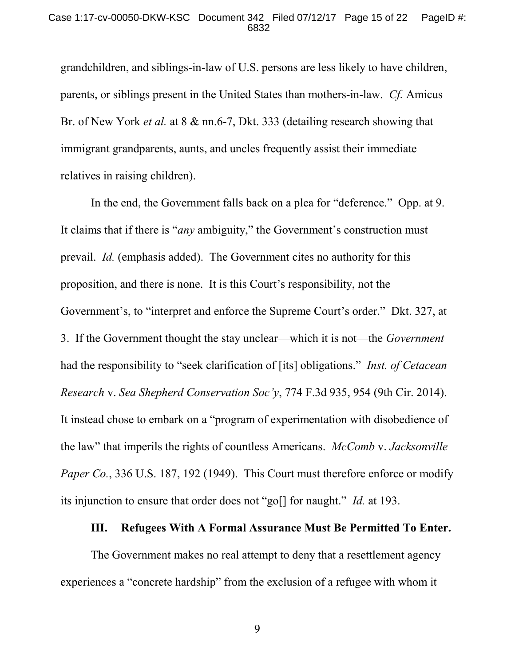grandchildren, and siblings-in-law of U.S. persons are less likely to have children, parents, or siblings present in the United States than mothers-in-law. *Cf.* Amicus Br. of New York *et al.* at 8 & nn.6-7, Dkt. 333 (detailing research showing that immigrant grandparents, aunts, and uncles frequently assist their immediate relatives in raising children).

In the end, the Government falls back on a plea for "deference." Opp. at 9. It claims that if there is "*any* ambiguity," the Government's construction must prevail. *Id.* (emphasis added). The Government cites no authority for this proposition, and there is none. It is this Court's responsibility, not the Government's, to "interpret and enforce the Supreme Court's order." Dkt. 327, at 3. If the Government thought the stay unclear—which it is not—the *Government* had the responsibility to "seek clarification of [its] obligations." *Inst. of Cetacean Research* v. *Sea Shepherd Conservation Soc'y*, 774 F.3d 935, 954 (9th Cir. 2014). It instead chose to embark on a "program of experimentation with disobedience of the law" that imperils the rights of countless Americans. *McComb* v. *Jacksonville Paper Co.*, 336 U.S. 187, 192 (1949). This Court must therefore enforce or modify its injunction to ensure that order does not "go[] for naught." *Id.* at 193.

#### **III. Refugees With A Formal Assurance Must Be Permitted To Enter.**

The Government makes no real attempt to deny that a resettlement agency experiences a "concrete hardship" from the exclusion of a refugee with whom it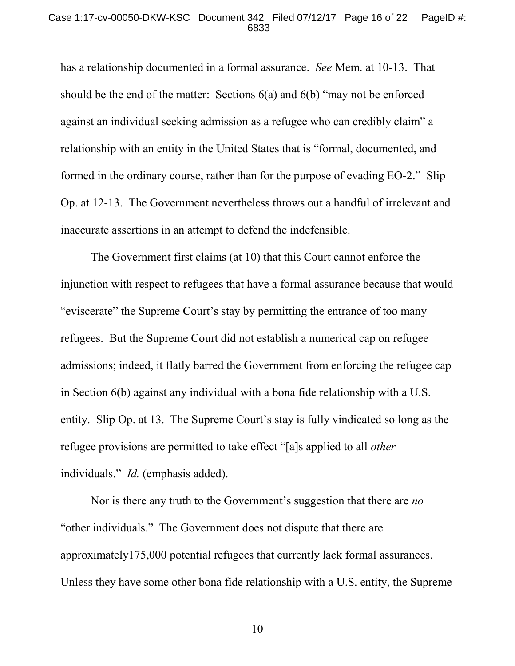#### Case 1:17-cv-00050-DKW-KSC Document 342 Filed 07/12/17 Page 16 of 22 PageID #: 6833

has a relationship documented in a formal assurance. *See* Mem. at 10-13. That should be the end of the matter: Sections 6(a) and 6(b) "may not be enforced against an individual seeking admission as a refugee who can credibly claim" a relationship with an entity in the United States that is "formal, documented, and formed in the ordinary course, rather than for the purpose of evading EO-2." Slip Op. at 12-13. The Government nevertheless throws out a handful of irrelevant and inaccurate assertions in an attempt to defend the indefensible.

The Government first claims (at 10) that this Court cannot enforce the injunction with respect to refugees that have a formal assurance because that would "eviscerate" the Supreme Court's stay by permitting the entrance of too many refugees. But the Supreme Court did not establish a numerical cap on refugee admissions; indeed, it flatly barred the Government from enforcing the refugee cap in Section 6(b) against any individual with a bona fide relationship with a U.S. entity. Slip Op. at 13. The Supreme Court's stay is fully vindicated so long as the refugee provisions are permitted to take effect "[a]s applied to all *other* individuals." *Id.* (emphasis added).

Nor is there any truth to the Government's suggestion that there are *no* "other individuals." The Government does not dispute that there are approximately175,000 potential refugees that currently lack formal assurances. Unless they have some other bona fide relationship with a U.S. entity, the Supreme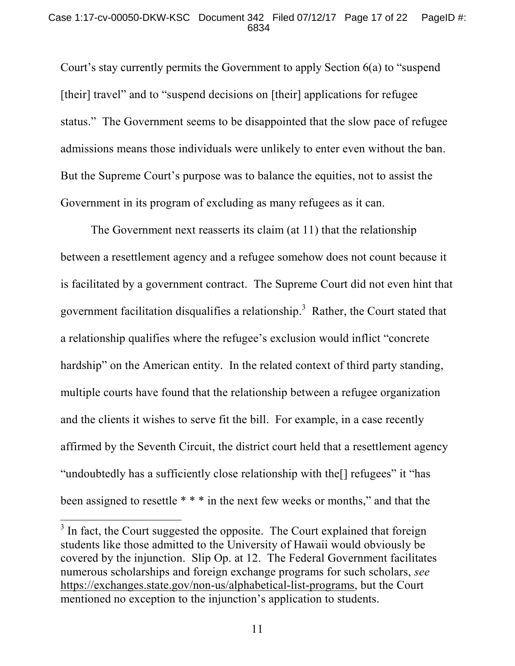Court's stay currently permits the Government to apply Section 6(a) to "suspend [their] travel" and to "suspend decisions on [their] applications for refugee status." The Government seems to be disappointed that the slow pace of refugee admissions means those individuals were unlikely to enter even without the ban. But the Supreme Court's purpose was to balance the equities, not to assist the Government in its program of excluding as many refugees as it can.

The Government next reasserts its claim (at 11) that the relationship between a resettlement agency and a refugee somehow does not count because it is facilitated by a government contract. The Supreme Court did not even hint that government facilitation disqualifies a relationship.<sup>3</sup> Rather, the Court stated that a relationship qualifies where the refugee's exclusion would inflict "concrete hardship" on the American entity. In the related context of third party standing, multiple courts have found that the relationship between a refugee organization and the clients it wishes to serve fit the bill. For example, in a case recently affirmed by the Seventh Circuit, the district court held that a resettlement agency "undoubtedly has a sufficiently close relationship with the[] refugees" it "has been assigned to resettle \* \* \* in the next few weeks or months," and that the

 $3$  In fact, the Court suggested the opposite. The Court explained that foreign students like those admitted to the University of Hawaii would obviously be covered by the injunction. Slip Op. at 12. The Federal Government facilitates numerous scholarships and foreign exchange programs for such scholars, *see* https://exchanges.state.gov/non-us/alphabetical-list-programs, but the Court mentioned no exception to the injunction's application to students.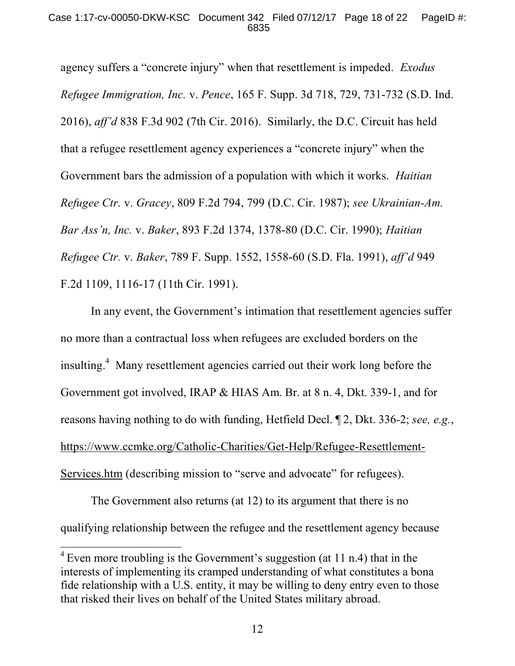agency suffers a "concrete injury" when that resettlement is impeded. *Exodus Refugee Immigration, Inc.* v. *Pence*, 165 F. Supp. 3d 718, 729, 731-732 (S.D. Ind. 2016), *aff'd* 838 F.3d 902 (7th Cir. 2016). Similarly, the D.C. Circuit has held that a refugee resettlement agency experiences a "concrete injury" when the Government bars the admission of a population with which it works. *Haitian Refugee Ctr.* v. *Gracey*, 809 F.2d 794, 799 (D.C. Cir. 1987); *see Ukrainian-Am. Bar Ass'n, Inc.* v. *Baker*, 893 F.2d 1374, 1378-80 (D.C. Cir. 1990); *Haitian Refugee Ctr.* v. *Baker*, 789 F. Supp. 1552, 1558-60 (S.D. Fla. 1991), *aff'd* 949 F.2d 1109, 1116-17 (11th Cir. 1991).

In any event, the Government's intimation that resettlement agencies suffer no more than a contractual loss when refugees are excluded borders on the insulting.<sup>4</sup> Many resettlement agencies carried out their work long before the Government got involved, IRAP & HIAS Am. Br. at 8 n. 4, Dkt. 339-1, and for reasons having nothing to do with funding, Hetfield Decl. ¶ 2, Dkt. 336-2; *see, e.g.*, https://www.ccmke.org/Catholic-Charities/Get-Help/Refugee-Resettlement-Services.htm (describing mission to "serve and advocate" for refugees).

The Government also returns (at 12) to its argument that there is no qualifying relationship between the refugee and the resettlement agency because

 $4$  Even more troubling is the Government's suggestion (at 11 n.4) that in the interests of implementing its cramped understanding of what constitutes a bona fide relationship with a U.S. entity, it may be willing to deny entry even to those that risked their lives on behalf of the United States military abroad.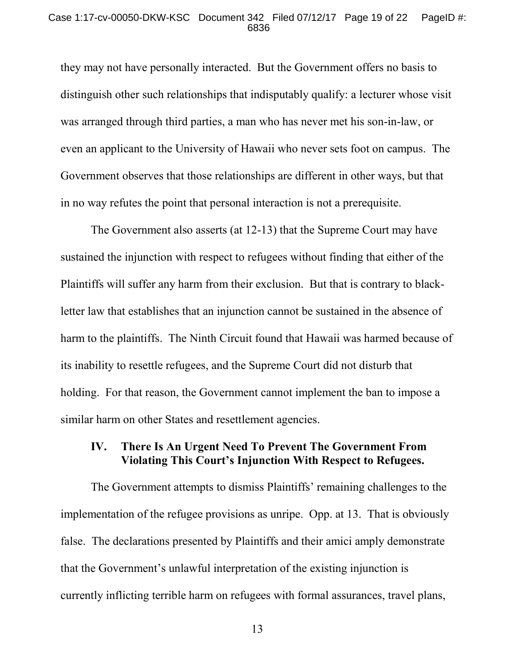#### Case 1:17-cv-00050-DKW-KSC Document 342 Filed 07/12/17 Page 19 of 22 PageID #: 6836

they may not have personally interacted. But the Government offers no basis to distinguish other such relationships that indisputably qualify: a lecturer whose visit was arranged through third parties, a man who has never met his son-in-law, or even an applicant to the University of Hawaii who never sets foot on campus. The Government observes that those relationships are different in other ways, but that in no way refutes the point that personal interaction is not a prerequisite.

The Government also asserts (at 12-13) that the Supreme Court may have sustained the injunction with respect to refugees without finding that either of the Plaintiffs will suffer any harm from their exclusion. But that is contrary to blackletter law that establishes that an injunction cannot be sustained in the absence of harm to the plaintiffs. The Ninth Circuit found that Hawaii was harmed because of its inability to resettle refugees, and the Supreme Court did not disturb that holding. For that reason, the Government cannot implement the ban to impose a similar harm on other States and resettlement agencies.

### **IV. There Is An Urgent Need To Prevent The Government From Violating This Court's Injunction With Respect to Refugees.**

The Government attempts to dismiss Plaintiffs' remaining challenges to the implementation of the refugee provisions as unripe. Opp. at 13. That is obviously false. The declarations presented by Plaintiffs and their amici amply demonstrate that the Government's unlawful interpretation of the existing injunction is currently inflicting terrible harm on refugees with formal assurances, travel plans,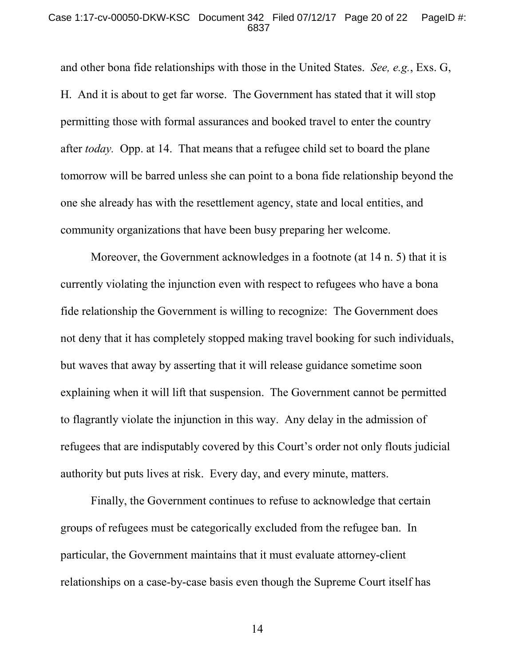#### Case 1:17-cv-00050-DKW-KSC Document 342 Filed 07/12/17 Page 20 of 22 PageID #: 6837

and other bona fide relationships with those in the United States. *See, e.g.*, Exs. G, H. And it is about to get far worse. The Government has stated that it will stop permitting those with formal assurances and booked travel to enter the country after *today.* Opp. at 14. That means that a refugee child set to board the plane tomorrow will be barred unless she can point to a bona fide relationship beyond the one she already has with the resettlement agency, state and local entities, and community organizations that have been busy preparing her welcome.

Moreover, the Government acknowledges in a footnote (at 14 n. 5) that it is currently violating the injunction even with respect to refugees who have a bona fide relationship the Government is willing to recognize: The Government does not deny that it has completely stopped making travel booking for such individuals, but waves that away by asserting that it will release guidance sometime soon explaining when it will lift that suspension. The Government cannot be permitted to flagrantly violate the injunction in this way. Any delay in the admission of refugees that are indisputably covered by this Court's order not only flouts judicial authority but puts lives at risk. Every day, and every minute, matters.

Finally, the Government continues to refuse to acknowledge that certain groups of refugees must be categorically excluded from the refugee ban. In particular, the Government maintains that it must evaluate attorney-client relationships on a case-by-case basis even though the Supreme Court itself has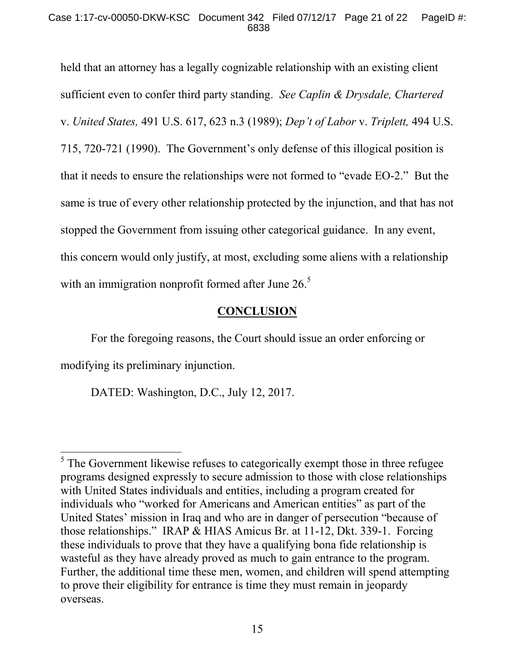#### Case 1:17-cv-00050-DKW-KSC Document 342 Filed 07/12/17 Page 21 of 22 PageID #: 6838

held that an attorney has a legally cognizable relationship with an existing client sufficient even to confer third party standing. *See Caplin & Drysdale, Chartered* v. *United States,* 491 U.S. 617, 623 n.3 (1989); *Dep't of Labor* v. *Triplett,* 494 U.S. 715, 720-721 (1990). The Government's only defense of this illogical position is that it needs to ensure the relationships were not formed to "evade EO-2." But the same is true of every other relationship protected by the injunction, and that has not stopped the Government from issuing other categorical guidance. In any event, this concern would only justify, at most, excluding some aliens with a relationship with an immigration nonprofit formed after June  $26<sup>5</sup>$ 

### **CONCLUSION**

For the foregoing reasons, the Court should issue an order enforcing or modifying its preliminary injunction.

DATED: Washington, D.C., July 12, 2017.

 $<sup>5</sup>$  The Government likewise refuses to categorically exempt those in three refugee</sup> programs designed expressly to secure admission to those with close relationships with United States individuals and entities, including a program created for individuals who "worked for Americans and American entities" as part of the United States' mission in Iraq and who are in danger of persecution "because of those relationships." IRAP & HIAS Amicus Br. at 11-12, Dkt. 339-1. Forcing these individuals to prove that they have a qualifying bona fide relationship is wasteful as they have already proved as much to gain entrance to the program. Further, the additional time these men, women, and children will spend attempting to prove their eligibility for entrance is time they must remain in jeopardy overseas.